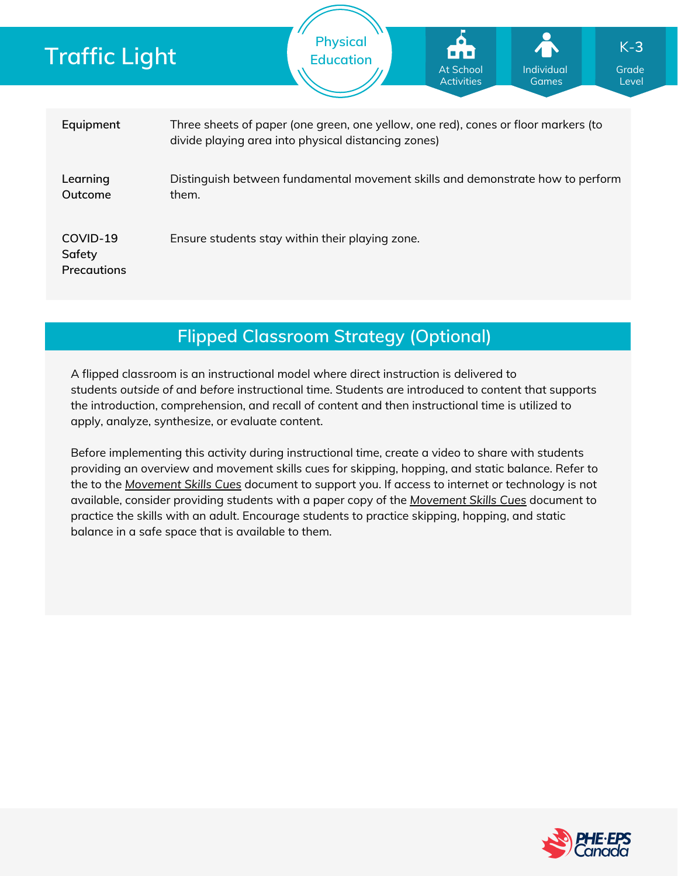| Traffic Light                            |                                                                                                                                           | <b>Physical</b><br><b>Education</b>             | At School<br><b>Activities</b> | Individual<br>Games | $K-3$<br>Grade<br>Level |
|------------------------------------------|-------------------------------------------------------------------------------------------------------------------------------------------|-------------------------------------------------|--------------------------------|---------------------|-------------------------|
| Equipment                                | Three sheets of paper (one green, one yellow, one red), cones or floor markers (to<br>divide playing area into physical distancing zones) |                                                 |                                |                     |                         |
| Learning<br>Outcome                      | Distinguish between fundamental movement skills and demonstrate how to perform<br>them.                                                   |                                                 |                                |                     |                         |
| COVID-19<br>Safety<br><b>Precautions</b> |                                                                                                                                           | Ensure students stay within their playing zone. |                                |                     |                         |

**Flipped Classroom Strategy (Optional)**

A flipped classroom is an instructional model where direct instruction is delivered to students *outside of* and *before* instructional time. Students are introduced to content that supports the introduction, comprehension, and recall of content and then instructional time is utilized to apply, analyze, synthesize, or evaluate content.

Before implementing this activity during instructional time, create a video to share with students providing an overview and movement skills cues for skipping, hopping, and static balance. Refer to the to the *[Movement](https://phecanada.ca/sites/default/files/content/docs/Home%20Learning%20Resource/Movement%20Cues/Movement%20Skills%20Cues%201.pdf) Skills Cues* document to support you. If access to internet or technology is not available, consider providing students with a paper copy of the *[Movement](https://phecanada.ca/sites/default/files/content/docs/Home%20Learning%20Resource/Movement%20Cues/Movement%20Skills%20Cues%201.pdf) Skills Cues* document to practice the skills with an adult. Encourage students to practice skipping, hopping, and static balance in a safe space that is available to them.

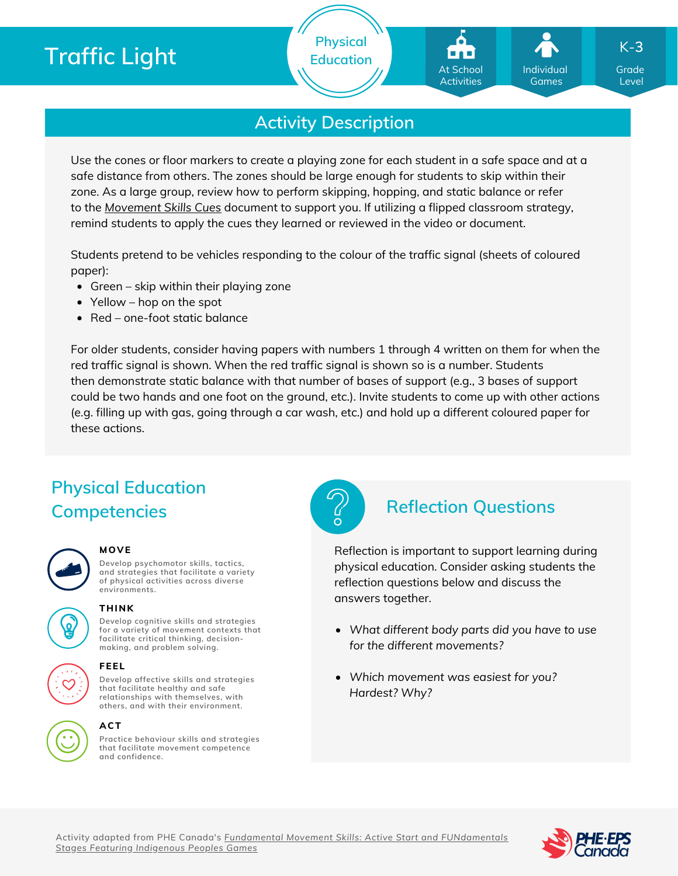# **Traffic Light**

**Physical Education**

At School Activities

Individual Games

Grade K-**3**

Level

# **Activity Description**

Use the cones or floor markers to create a playing zone for each student in a safe space and at a safe distance from others. The zones should be large enough for students to skip within their zone. As a large group, review how to perform skipping, hopping, and static balance or refer to the *[Movement](https://phecanada.ca/sites/default/files/content/docs/Home%20Learning%20Resource/Movement%20Cues/Movement%20Skills%20Cues%201.pdf) Skills Cues* document to support you. If utilizing a flipped classroom strategy, remind students to apply the cues they learned or reviewed in the video or document.

Students pretend to be vehicles responding to the colour of the traffic signal (sheets of coloured paper):

- Green skip within their playing zone
- Yellow hop on the spot
- Red one-foot static balance

For older students, consider having papers with numbers 1 through 4 written on them for when the red traffic signal is shown. When the red traffic signal is shown so is a number. Students then demonstrate static balance with that number of bases of support (e.g., 3 bases of support could be two hands and one foot on the ground, etc.). Invite students to come up with other actions (e.g. filling up with gas, going through a car wash, etc.) and hold up a different coloured paper for these actions.

# **Physical Education Competencies Reflection Questions**

| ı |
|---|
|   |

### **MOVE**

**Develop psychomotor skills, tactics, and strategies that facilitate a variety of physical activities across diverse environments.**





**Develop cognitive skills and strategies for a variety of movement contexts that facilitate critical thinking, decision making, and problem solving. THINK**



### **others, and with their environment. ACT**

**Practice behaviour skills and strategies that facilitate movement competence and confidence.**



Reflection is important to support learning during physical education. Consider asking students the reflection questions below and discuss the answers together.

- *What different body parts did you have to use for the different movements?*
- *Which movement was easiest for you? Hardest? Why?*